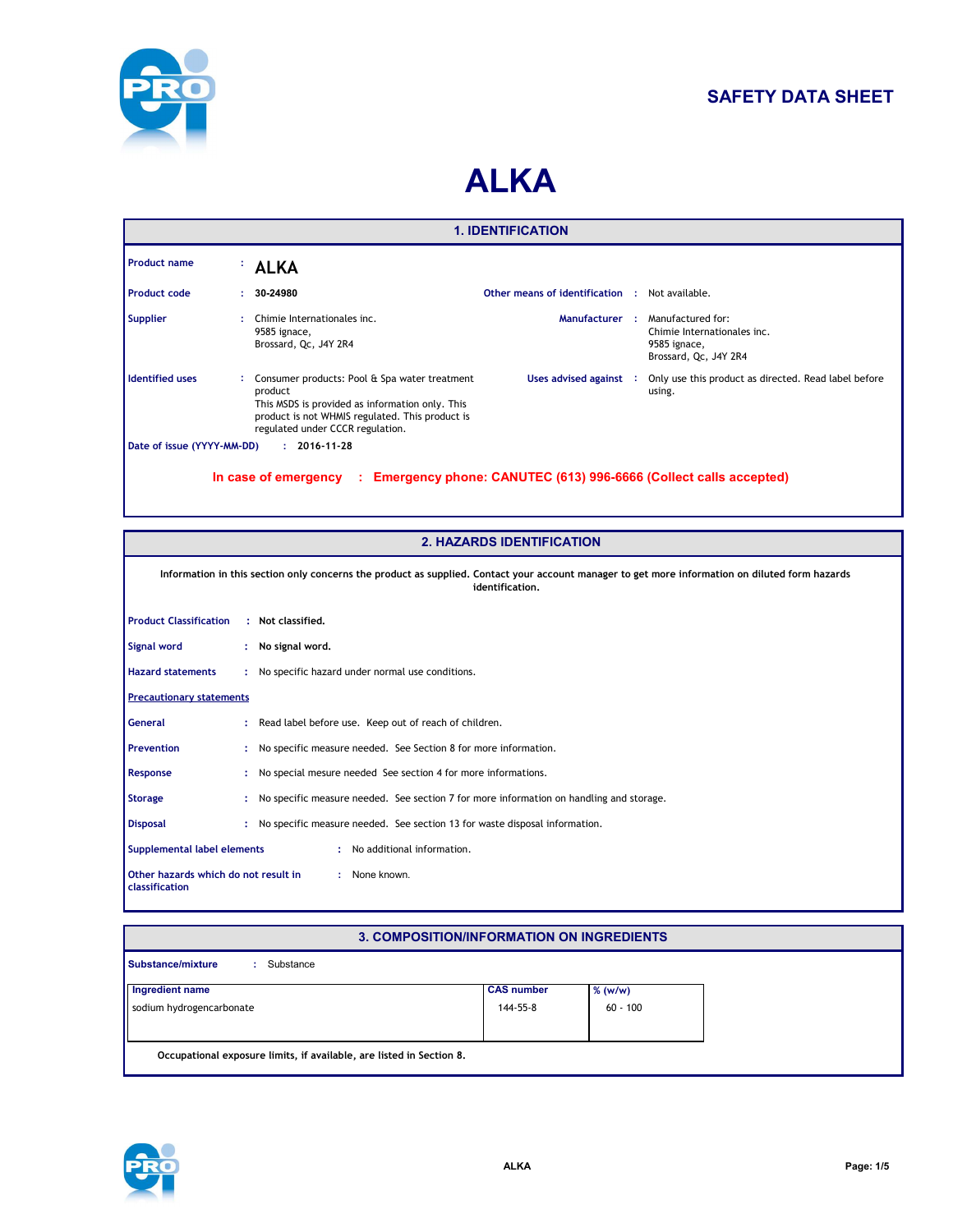

# **SAFETY DATA SHEET**

# **ALKA**

| <b>1. IDENTIFICATION</b>                                                                                                                    |    |                                                                                                                                                                                                      |                                 |  |                                                                                           |  |  |
|---------------------------------------------------------------------------------------------------------------------------------------------|----|------------------------------------------------------------------------------------------------------------------------------------------------------------------------------------------------------|---------------------------------|--|-------------------------------------------------------------------------------------------|--|--|
| <b>Product name</b>                                                                                                                         |    | <b>ALKA</b>                                                                                                                                                                                          |                                 |  |                                                                                           |  |  |
| Product code                                                                                                                                | ÷. | 30-24980                                                                                                                                                                                             | Other means of identification : |  | Not available.                                                                            |  |  |
| <b>Supplier</b>                                                                                                                             | ÷  | Chimie Internationales inc.<br>9585 ignace,<br>Brossard, Qc, J4Y 2R4                                                                                                                                 | Manufacturer:                   |  | Manufactured for:<br>Chimie Internationales inc.<br>9585 ignace,<br>Brossard, Qc, J4Y 2R4 |  |  |
| <b>Identified uses</b>                                                                                                                      |    | : Consumer products: Pool & Spa water treatment<br>product<br>This MSDS is provided as information only. This<br>product is not WHMIS regulated. This product is<br>regulated under CCCR regulation. | Uses advised against :          |  | Only use this product as directed. Read label before<br>using.                            |  |  |
| Date of issue (YYYY-MM-DD)<br>$: 2016 - 11 - 28$<br>In case of emergency : Emergency phone: CANUTEC (613) 996-6666 (Collect calls accepted) |    |                                                                                                                                                                                                      |                                 |  |                                                                                           |  |  |

| <b>2. HAZARDS IDENTIFICATION</b>                                                                                                                                   |  |                                                                                         |  |  |  |
|--------------------------------------------------------------------------------------------------------------------------------------------------------------------|--|-----------------------------------------------------------------------------------------|--|--|--|
| Information in this section only concerns the product as supplied. Contact your account manager to get more information on diluted form hazards<br>identification. |  |                                                                                         |  |  |  |
| <b>Product Classification</b>                                                                                                                                      |  | : Not classified.                                                                       |  |  |  |
| Signal word                                                                                                                                                        |  | : No signal word.                                                                       |  |  |  |
| <b>Hazard statements</b>                                                                                                                                           |  | : No specific hazard under normal use conditions.                                       |  |  |  |
| <b>Precautionary statements</b>                                                                                                                                    |  |                                                                                         |  |  |  |
| <b>General</b>                                                                                                                                                     |  | : Read label before use. Keep out of reach of children.                                 |  |  |  |
| <b>Prevention</b>                                                                                                                                                  |  | No specific measure needed. See Section 8 for more information.                         |  |  |  |
| Response                                                                                                                                                           |  | No special mesure needed See section 4 for more informations.                           |  |  |  |
| <b>Storage</b>                                                                                                                                                     |  | No specific measure needed. See section 7 for more information on handling and storage. |  |  |  |
| <b>Disposal</b>                                                                                                                                                    |  | No specific measure needed. See section 13 for waste disposal information.              |  |  |  |
| : No additional information.<br>Supplemental label elements                                                                                                        |  |                                                                                         |  |  |  |
| : None known.<br>Other hazards which do not result in<br>classification                                                                                            |  |                                                                                         |  |  |  |

# **3. COMPOSITION/INFORMATION ON INGREDIENTS**

| <b>Substance/mixture</b><br>Substance                                |                   |            |
|----------------------------------------------------------------------|-------------------|------------|
| Ingredient name                                                      | <b>CAS number</b> | $%$ (w/w)  |
| sodium hydrogencarbonate                                             | 144-55-8          | $60 - 100$ |
|                                                                      |                   |            |
| Occupational exposure limits, if available, are listed in Section 8. |                   |            |

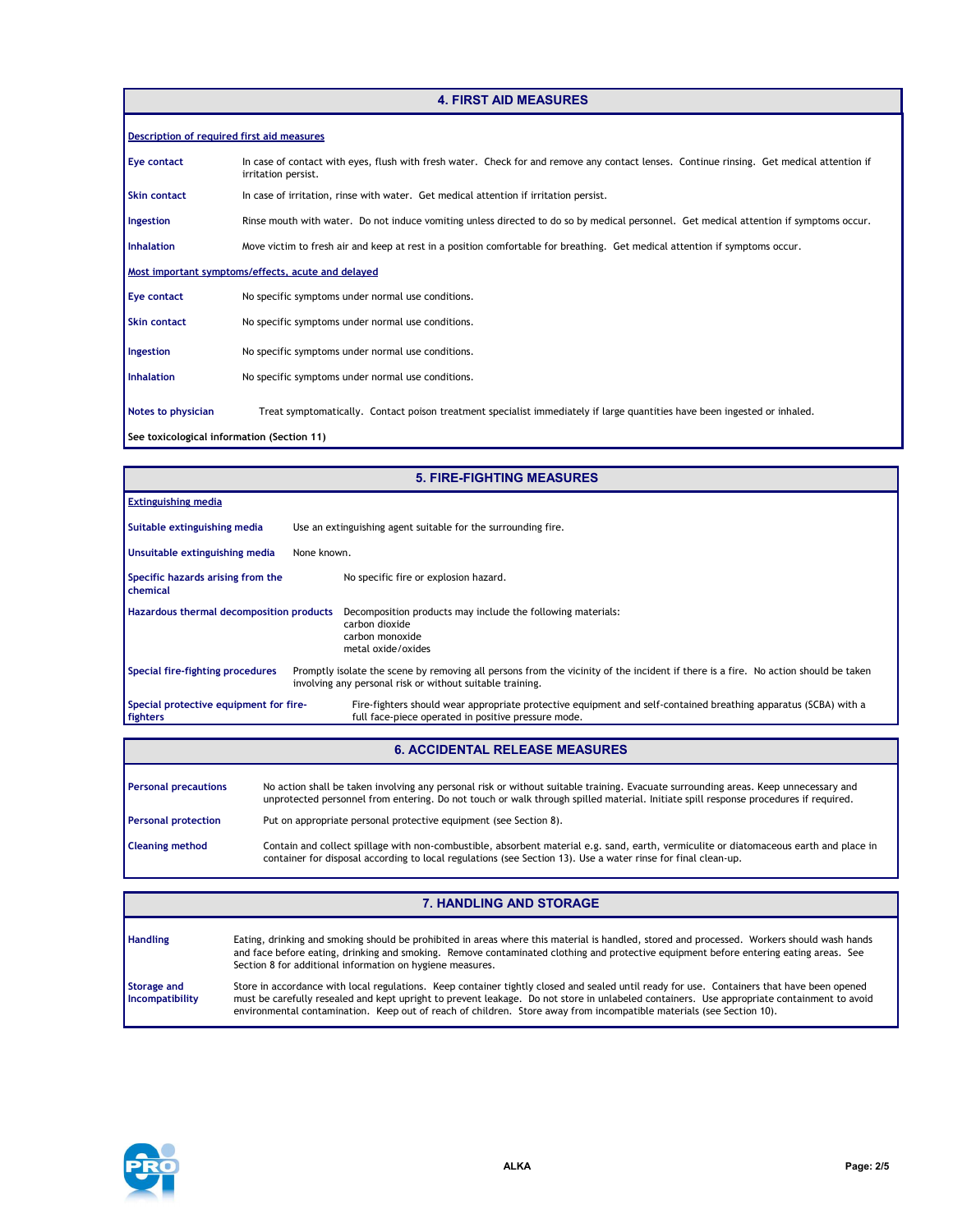#### **4. FIRST AID MEASURES**

| Description of required first aid measures         |                                                                                                                                                                  |  |  |  |  |
|----------------------------------------------------|------------------------------------------------------------------------------------------------------------------------------------------------------------------|--|--|--|--|
| Eye contact                                        | In case of contact with eyes, flush with fresh water. Check for and remove any contact lenses. Continue rinsing. Get medical attention if<br>irritation persist. |  |  |  |  |
| <b>Skin contact</b>                                | In case of irritation, rinse with water. Get medical attention if irritation persist.                                                                            |  |  |  |  |
| Ingestion                                          | Rinse mouth with water. Do not induce vomiting unless directed to do so by medical personnel. Get medical attention if symptoms occur.                           |  |  |  |  |
| <b>Inhalation</b>                                  | Move victim to fresh air and keep at rest in a position comfortable for breathing. Get medical attention if symptoms occur.                                      |  |  |  |  |
| Most important symptoms/effects, acute and delayed |                                                                                                                                                                  |  |  |  |  |
| Eye contact                                        | No specific symptoms under normal use conditions.                                                                                                                |  |  |  |  |
| <b>Skin contact</b>                                | No specific symptoms under normal use conditions.                                                                                                                |  |  |  |  |
| Ingestion                                          | No specific symptoms under normal use conditions.                                                                                                                |  |  |  |  |
| <b>Inhalation</b>                                  | No specific symptoms under normal use conditions.                                                                                                                |  |  |  |  |
| Notes to physician                                 | Treat symptomatically. Contact poison treatment specialist immediately if large quantities have been ingested or inhaled.                                        |  |  |  |  |
| See toxicological information (Section 11)         |                                                                                                                                                                  |  |  |  |  |

|                                                      | <b>5. FIRE-FIGHTING MEASURES</b>                                                                                                                                                                |
|------------------------------------------------------|-------------------------------------------------------------------------------------------------------------------------------------------------------------------------------------------------|
| <b>Extinguishing media</b>                           |                                                                                                                                                                                                 |
| Suitable extinguishing media                         | Use an extinguishing agent suitable for the surrounding fire.                                                                                                                                   |
| Unsuitable extinguishing media                       | None known.                                                                                                                                                                                     |
| Specific hazards arising from the<br><b>chemical</b> | No specific fire or explosion hazard.                                                                                                                                                           |
| Hazardous thermal decomposition products             | Decomposition products may include the following materials:<br>carbon dioxide<br>carbon monoxide<br>metal oxide/oxides                                                                          |
| Special fire-fighting procedures                     | Promptly isolate the scene by removing all persons from the vicinity of the incident if there is a fire. No action should be taken<br>involving any personal risk or without suitable training. |
| Special protective equipment for fire-<br>fighters   | Fire-fighters should wear appropriate protective equipment and self-contained breathing apparatus (SCBA) with a<br>full face-piece operated in positive pressure mode.                          |

### **6. ACCIDENTAL RELEASE MEASURES**

| <b>Personal precautions</b> | No action shall be taken involving any personal risk or without suitable training. Evacuate surrounding areas. Keep unnecessary and<br>unprotected personnel from entering. Do not touch or walk through spilled material. Initiate spill response procedures if required. |
|-----------------------------|----------------------------------------------------------------------------------------------------------------------------------------------------------------------------------------------------------------------------------------------------------------------------|
| <b>Personal protection</b>  | Put on appropriate personal protective equipment (see Section 8).                                                                                                                                                                                                          |
| Cleaning method             | Contain and collect spillage with non-combustible, absorbent material e.g. sand, earth, vermiculite or diatomaceous earth and place in<br>container for disposal according to local regulations (see Section 13). Use a water rinse for final clean-up.                    |

|                                | <b>7. HANDLING AND STORAGE</b>                                                                                                                                                                                                                                                                                                                                                                                   |
|--------------------------------|------------------------------------------------------------------------------------------------------------------------------------------------------------------------------------------------------------------------------------------------------------------------------------------------------------------------------------------------------------------------------------------------------------------|
| <b>Handling</b>                | Eating, drinking and smoking should be prohibited in areas where this material is handled, stored and processed. Workers should wash hands<br>and face before eating, drinking and smoking. Remove contaminated clothing and protective equipment before entering eating areas. See<br>Section 8 for additional information on hygiene measures.                                                                 |
| Storage and<br>Incompatibility | Store in accordance with local regulations. Keep container tightly closed and sealed until ready for use. Containers that have been opened<br>must be carefully resealed and kept upright to prevent leakage. Do not store in unlabeled containers. Use appropriate containment to avoid<br>environmental contamination. Keep out of reach of children. Store away from incompatible materials (see Section 10). |

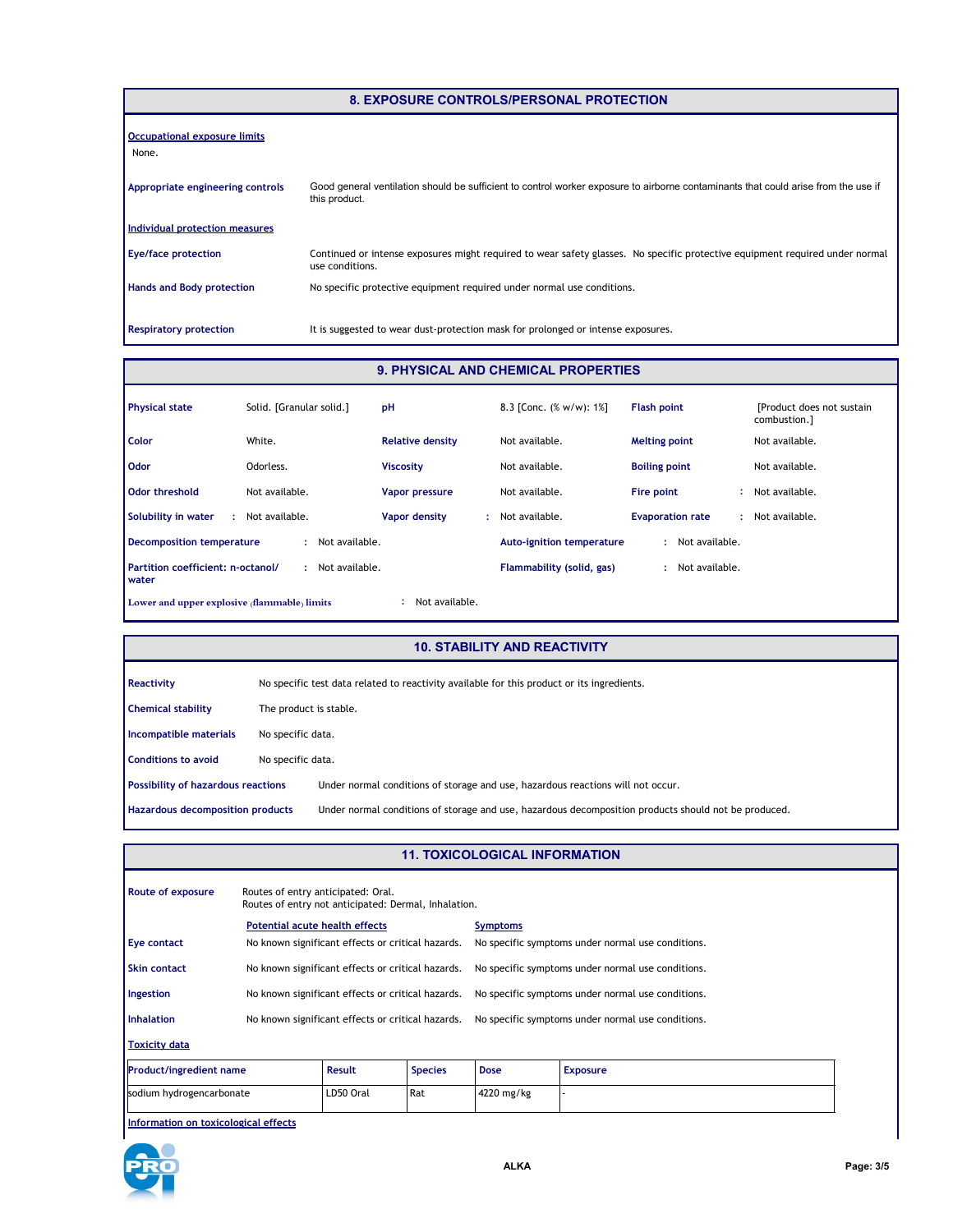| 8. EXPOSURE CONTROLS/PERSONAL PROTECTION |                                                                                                                                                     |  |  |  |
|------------------------------------------|-----------------------------------------------------------------------------------------------------------------------------------------------------|--|--|--|
| Occupational exposure limits<br>None.    |                                                                                                                                                     |  |  |  |
| Appropriate engineering controls         | Good general ventilation should be sufficient to control worker exposure to airborne contaminants that could arise from the use if<br>this product. |  |  |  |
| Individual protection measures           |                                                                                                                                                     |  |  |  |
| <b>Eye/face protection</b>               | Continued or intense exposures might required to wear safety glasses. No specific protective equipment required under normal<br>use conditions.     |  |  |  |
| <b>Hands and Body protection</b>         | No specific protective equipment required under normal use conditions.                                                                              |  |  |  |
| <b>Respiratory protection</b>            | It is suggested to wear dust-protection mask for prolonged or intense exposures.                                                                    |  |  |  |

#### **9. PHYSICAL AND CHEMICAL PROPERTIES**

| <b>Physical state</b>                                          | Solid. [Granular solid.] | pH                      | 8.3 [Conc. (% w/w): 1%]          | <b>Flash point</b>      | [Product does not sustain]<br>combustion.] |
|----------------------------------------------------------------|--------------------------|-------------------------|----------------------------------|-------------------------|--------------------------------------------|
| <b>Color</b>                                                   | White.                   | <b>Relative density</b> | Not available.                   | <b>Melting point</b>    | Not available.                             |
| <b>Odor</b>                                                    | Odorless.                | <b>Viscosity</b>        | Not available.                   | <b>Boiling point</b>    | Not available.                             |
| Odor threshold                                                 | Not available.           | Vapor pressure          | Not available.                   | Fire point              | Not available.                             |
| Solubility in water                                            | Not available.           | Vapor density           | Not available.                   | <b>Evaporation rate</b> | Not available.                             |
| Decomposition temperature                                      | Not available.<br>÷      |                         | <b>Auto-ignition temperature</b> | Not available.<br>÷.    |                                            |
| Partition coefficient: n-octanol/<br><b>water</b>              | Not available.           |                         | Flammability (solid, gas)        | Not available.          |                                            |
| Not available.<br>Lower and upper explosive (flammable) limits |                          |                         |                                  |                         |                                            |

#### **10. STABILITY AND REACTIVITY**

| Reactivity                                | No specific test data related to reactivity available for this product or its ingredients. |                                                                                                      |
|-------------------------------------------|--------------------------------------------------------------------------------------------|------------------------------------------------------------------------------------------------------|
| <b>Chemical stability</b>                 | The product is stable.                                                                     |                                                                                                      |
| Incompatible materials                    | No specific data.                                                                          |                                                                                                      |
| <b>Conditions to avoid</b>                | No specific data.                                                                          |                                                                                                      |
| <b>Possibility of hazardous reactions</b> |                                                                                            | Under normal conditions of storage and use, hazardous reactions will not occur.                      |
| Hazardous decomposition products          |                                                                                            | Under normal conditions of storage and use, hazardous decomposition products should not be produced. |

#### **11. TOXICOLOGICAL INFORMATION**

| Route of exposure              | Routes of entry anticipated: Oral.<br>Routes of entry not anticipated: Dermal, Inhalation. |               |                |                                                   |                                                   |  |
|--------------------------------|--------------------------------------------------------------------------------------------|---------------|----------------|---------------------------------------------------|---------------------------------------------------|--|
|                                | Potential acute health effects                                                             |               |                | <b>Symptoms</b>                                   |                                                   |  |
| Eye contact                    | No known significant effects or critical hazards.                                          |               |                | No specific symptoms under normal use conditions. |                                                   |  |
| Skin contact                   | No known significant effects or critical hazards.                                          |               |                | No specific symptoms under normal use conditions. |                                                   |  |
| Ingestion                      | No known significant effects or critical hazards.                                          |               |                |                                                   | No specific symptoms under normal use conditions. |  |
| <b>Inhalation</b>              | No known significant effects or critical hazards.                                          |               |                | No specific symptoms under normal use conditions. |                                                   |  |
| <b>Toxicity data</b>           |                                                                                            |               |                |                                                   |                                                   |  |
| <b>Product/ingredient name</b> |                                                                                            | <b>Result</b> | <b>Species</b> | <b>Dose</b>                                       | <b>Exposure</b>                                   |  |

 $\frac{1}{2}$  Rat  $\frac{1}{2}$  +  $\frac{1}{2}$   $\frac{1}{2}$   $\frac{1}{2}$   $\frac{1}{2}$   $\frac{1}{2}$   $\frac{1}{2}$   $\frac{1}{2}$   $\frac{1}{2}$   $\frac{1}{2}$   $\frac{1}{2}$   $\frac{1}{2}$   $\frac{1}{2}$   $\frac{1}{2}$   $\frac{1}{2}$   $\frac{1}{2}$   $\frac{1}{2}$   $\frac{1}{2}$   $\frac{1}{2}$   $\frac{1}{2}$   $\frac{1}{$ 

**Information on toxicological effects**

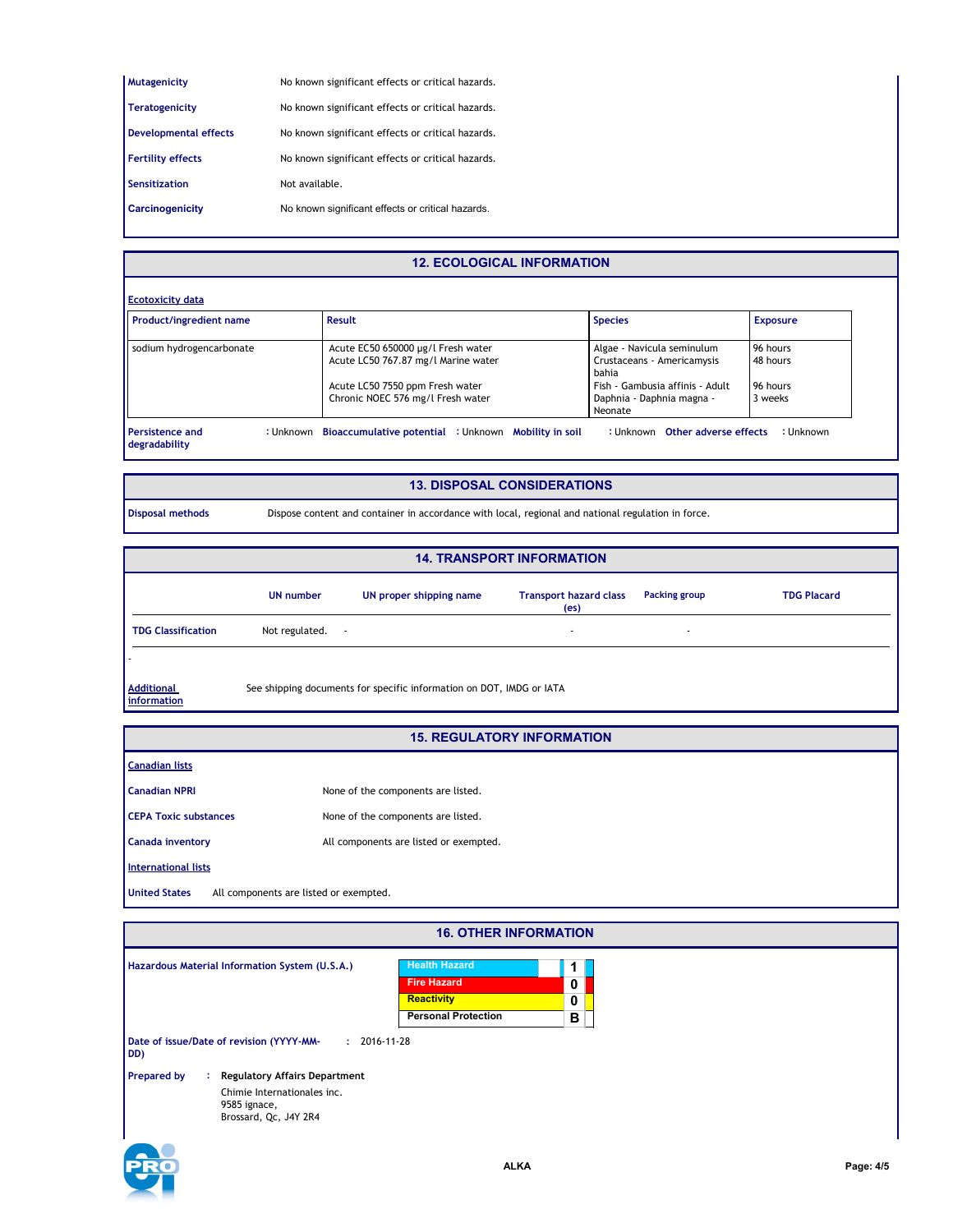| <b>Mutagenicity</b>          | No known significant effects or critical hazards. |
|------------------------------|---------------------------------------------------|
| <b>Teratogenicity</b>        | No known significant effects or critical hazards. |
| <b>Developmental effects</b> | No known significant effects or critical hazards. |
| <b>Fertility effects</b>     | No known significant effects or critical hazards. |
| Sensitization                | Not available.                                    |
| Carcinogenicity              | No known significant effects or critical hazards. |

# **12. ECOLOGICAL INFORMATION**

| <b>Ecotoxicity data</b>  |                                     |                                     |                 |
|--------------------------|-------------------------------------|-------------------------------------|-----------------|
| Product/ingredient name  | Result                              | <b>Species</b>                      | <b>Exposure</b> |
| sodium hydrogencarbonate | Acute EC50 650000 µg/l Fresh water  | Algae - Navicula seminulum          | 96 hours        |
|                          | Acute LC50 767.87 mg/l Marine water | Crustaceans - Americamysis<br>bahia | 48 hours        |
|                          | Acute LC50 7550 ppm Fresh water     | Fish - Gambusia affinis - Adult     | 96 hours        |
|                          | Chronic NOEC 576 mg/l Fresh water   | Daphnia - Daphnia magna -           | 3 weeks         |
|                          |                                     | Neonate                             |                 |

#### **13. DISPOSAL CONSIDERATIONS**

**Disposal methods** Dispose content and container in accordance with local, regional and national regulation in force.

|                                  |                     |                                                                      | <b>14. TRANSPORT INFORMATION</b>                   |               |                    |
|----------------------------------|---------------------|----------------------------------------------------------------------|----------------------------------------------------|---------------|--------------------|
|                                  | <b>UN number</b>    | UN proper shipping name                                              | <b>Transport hazard class</b><br>(e <sub>S</sub> ) | Packing group | <b>TDG Placard</b> |
| <b>TDG Classification</b>        | Not regulated.<br>٠ |                                                                      | $\overline{\phantom{a}}$                           | ٠             |                    |
|                                  |                     |                                                                      |                                                    |               |                    |
| <b>Additional</b><br>information |                     | See shipping documents for specific information on DOT, IMDG or IATA |                                                    |               |                    |

#### **15. REGULATORY INFORMATION**

| <b>Canadian NPRI</b>         | None of the components are listed.     |
|------------------------------|----------------------------------------|
| <b>CEPA Toxic substances</b> | None of the components are listed.     |
| <b>Canada inventory</b>      | All components are listed or exempted. |

**International lists**

**Canadian lists**

**United States** All components are listed or exempted.

| <b>16. OTHER INFORMATION</b>                                                                                                             |                                                                 |                                 |  |  |
|------------------------------------------------------------------------------------------------------------------------------------------|-----------------------------------------------------------------|---------------------------------|--|--|
| Hazardous Material Information System (U.S.A.)                                                                                           | <b>Health Hazard</b><br><b>Fire Hazard</b><br><b>Reactivity</b> | 1<br>0<br>0                     |  |  |
| Date of issue/Date of revision (YYYY-MM-<br>DD)                                                                                          | $: 2016 - 11 - 28$                                              | <b>Personal Protection</b><br>в |  |  |
| <b>Prepared by</b><br><b>Regulatory Affairs Department</b><br>÷.<br>Chimie Internationales inc.<br>9585 ignace,<br>Brossard, Qc, J4Y 2R4 |                                                                 |                                 |  |  |